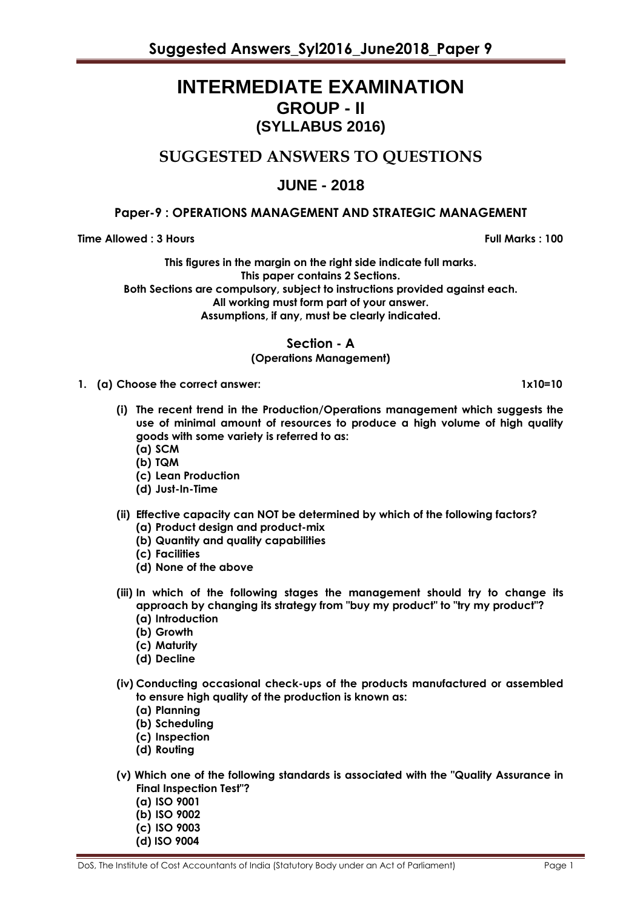# **INTERMEDIATE EXAMINATION GROUP - II (SYLLABUS 2016)**

# **SUGGESTED ANSWERS TO QUESTIONS**

# **JUNE - 2018**

## **Paper-9 : OPERATIONS MANAGEMENT AND STRATEGIC MANAGEMENT**

**Time Allowed : 3 Hours Full Marks : 100** 

**This figures in the margin on the right side indicate full marks. This paper contains 2 Sections. Both Sections are compulsory, subject to instructions provided against each. All working must form part of your answer. Assumptions, if any, must be clearly indicated.**

# **Section - A**

## **(Operations Management)**

- **1. (a) Choose the correct answer: 1x10=10**
	- **(i) The recent trend in the Production/Operations management which suggests the use of minimal amount of resources to produce a high volume of high quality goods with some variety is referred to as: (a) SCM**
		- **(b) TQM**
		- **(c) Lean Production**
		- **(d) Just-In-Time**
	- **(ii) Effective capacity can NOT be determined by which of the following factors? (a) Product design and product-mix**
		- **(b) Quantity and quality capabilities**
		- **(c) Facilities**
		- **(d) None of the above**
	- **(iii) In which of the following stages the management should try to change its approach by changing its strategy from "buy my product" to "try my product"? (a) Introduction**
		- **(b) Growth**
		- **(c) Maturity**
		- **(d) Decline**
	- **(iv) Conducting occasional check-ups of the products manufactured or assembled to ensure high quality of the production is known as:**
		- **(a) Planning**
		- **(b) Scheduling**
		- **(c) Inspection**
		- **(d) Routing**
	- **(v) Which one of the following standards is associated with the "Quality Assurance in Final Inspection Test"?**
		- **(a) ISO 9001**
		- **(b) ISO 9002**
		- **(c) ISO 9003**
		- **(d) ISO 9004**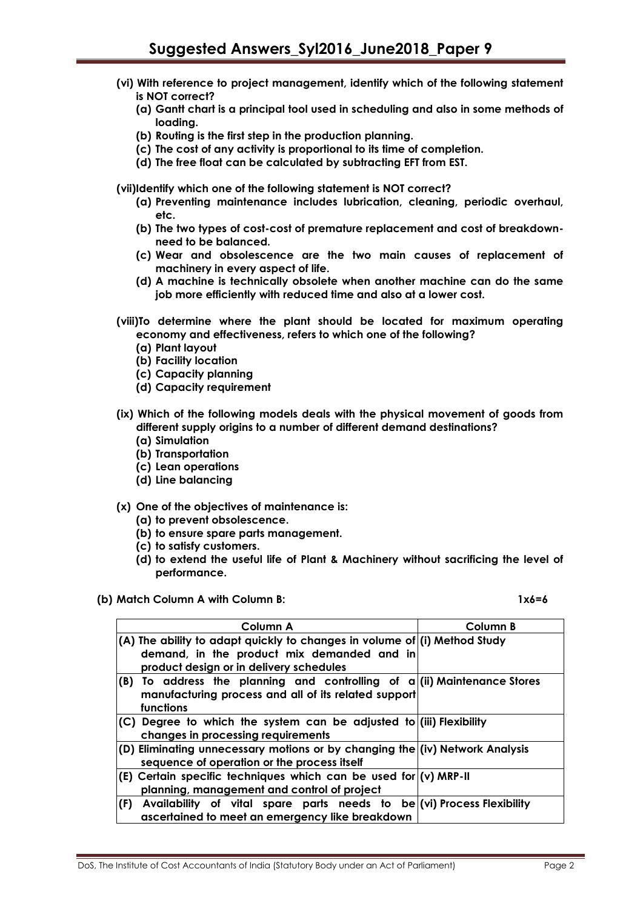- **(vi) With reference to project management, identify which of the following statement is NOT correct?**
	- **(a) Gantt chart is a principal tool used in scheduling and also in some methods of loading.**
	- **(b) Routing is the first step in the production planning.**
	- **(c) The cost of any activity is proportional to its time of completion.**
	- **(d) The free float can be calculated by subtracting EFT from EST.**

**(vii)Identify which one of the following statement is NOT correct?**

- **(a) Preventing maintenance includes lubrication, cleaning, periodic overhaul, etc.**
- **(b) The two types of cost-cost of premature replacement and cost of breakdownneed to be balanced.**
- **(c) Wear and obsolescence are the two main causes of replacement of machinery in every aspect of life.**
- **(d) A machine is technically obsolete when another machine can do the same job more efficiently with reduced time and also at a lower cost.**
- **(viii)To determine where the plant should be located for maximum operating economy and effectiveness, refers to which one of the following?**
	- **(a) Plant layout**
	- **(b) Facility location**
	- **(c) Capacity planning**
	- **(d) Capacity requirement**
- **(ix) Which of the following models deals with the physical movement of goods from different supply origins to a number of different demand destinations?**
	- **(a) Simulation**
	- **(b) Transportation**
	- **(c) Lean operations**
	- **(d) Line balancing**
- **(x) One of the objectives of maintenance is:**
	- **(a) to prevent obsolescence.**
	- **(b) to ensure spare parts management.**
	- **(c) to satisfy customers.**
	- **(d) to extend the useful life of Plant & Machinery without sacrificing the level of performance.**
- **(b) Match Column A with Column B: 1x6=6**

| Column A                                                                                                                                        | Column B |
|-------------------------------------------------------------------------------------------------------------------------------------------------|----------|
| (A) The ability to adapt quickly to changes in volume of $(i)$ Method Study<br>demand, in the product mix demanded and in                       |          |
| product design or in delivery schedules                                                                                                         |          |
| (B) To address the planning and controlling of $a/(ii)$ Maintenance Stores<br>manufacturing process and all of its related support<br>functions |          |
| (C) Degree to which the system can be adjusted to (iii) Flexibility<br>changes in processing requirements                                       |          |
| (D) Eliminating unnecessary motions or by changing the (iv) Network Analysis<br>sequence of operation or the process itself                     |          |
| (E) Certain specific techniques which can be used for (v) MRP-II<br>planning, management and control of project                                 |          |
| (F)<br>Availability of vital spare parts needs to be (vi) Process Flexibility<br>ascertained to meet an emergency like breakdown                |          |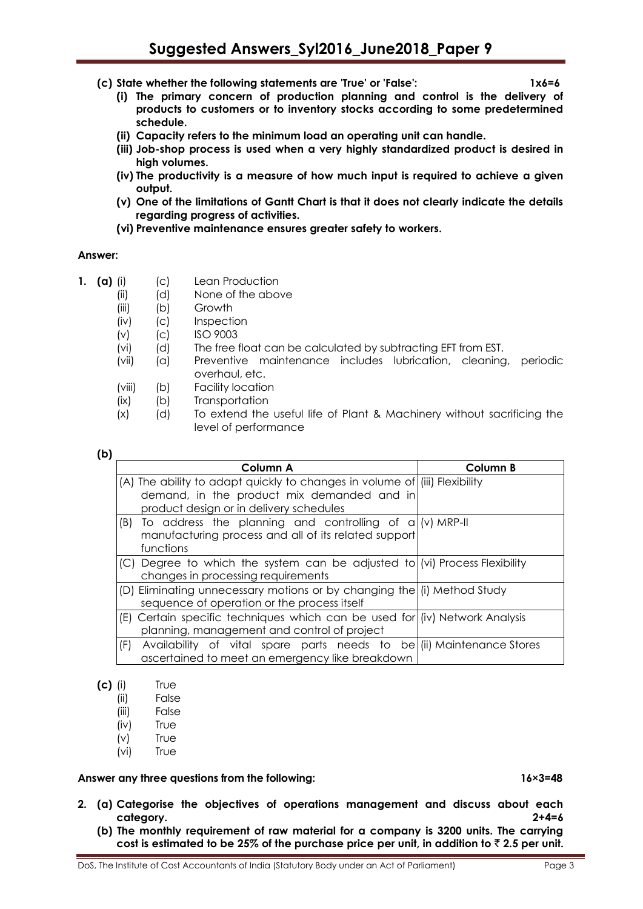- **(c) State whether the following statements are 'True' or 'False': 1x6=6**
	- **(i) The primary concern of production planning and control is the delivery of products to customers or to inventory stocks according to some predetermined schedule.**
	- **(ii) Capacity refers to the minimum load an operating unit can handle.**
	- **(iii) Job-shop process is used when a very highly standardized product is desired in high volumes.**
	- **(iv) The productivity is a measure of how much input is required to achieve a given output.**
	- **(v) One of the limitations of Gantt Chart is that it does not clearly indicate the details regarding progress of activities.**
	- **(vi) Preventive maintenance ensures greater safety to workers.**

### **Answer:**

- **1. (a)** (i) (c) Lean Production
	- (ii) (d) None of the above
		- (iii) (b) Growth
		- (iv) (c) Inspection
		- (v) (c) ISO 9003
		- (vi) (d) The free float can be calculated by subtracting EFT from EST.
		- (vii) (a) Preventive maintenance includes lubrication, cleaning, periodic overhaul, etc.
		- (viii) (b) Facility location
		- (ix) (b) Transportation
		- (x) (d) To extend the useful life of Plant & Machinery without sacrificing the level of performance

#### **(b)**

|     | Column A                                                                    | Column B |
|-----|-----------------------------------------------------------------------------|----------|
|     | (A) The ability to adapt quickly to changes in volume of (iii) Flexibility  |          |
|     | demand, in the product mix demanded and in                                  |          |
|     | product design or in delivery schedules                                     |          |
|     | $(B)$ To address the planning and controlling of a $(v)$ MRP-II             |          |
|     | manufacturing process and all of its related support                        |          |
|     | functions                                                                   |          |
|     | (C) Degree to which the system can be adjusted to (vi) Process Flexibility  |          |
|     | changes in processing requirements                                          |          |
|     | (D) Eliminating unnecessary motions or by changing the (i) Method Study     |          |
|     | sequence of operation or the process itself                                 |          |
|     | (E) Certain specific techniques which can be used for (iv) Network Analysis |          |
|     | planning, management and control of project                                 |          |
| (F) | Availability of vital spare parts needs to be (iii) Maintenance Stores      |          |
|     | ascertained to meet an emergency like breakdown                             |          |

- **(c)** (i) True
	- (ii) False
	- (iii) False
	- (iv) True
	- (v) True
	- (vi) True

#### **Answer any three questions from the following: 16×3=48**

- **2. (a) Categorise the objectives of operations management and discuss about each category. 2+4=6**
	- **(b) The monthly requirement of raw material for a company is 3200 units. The carrying**  cost is estimated to be 25% of the purchase price per unit, in addition to  $\bar{z}$  2.5 per unit.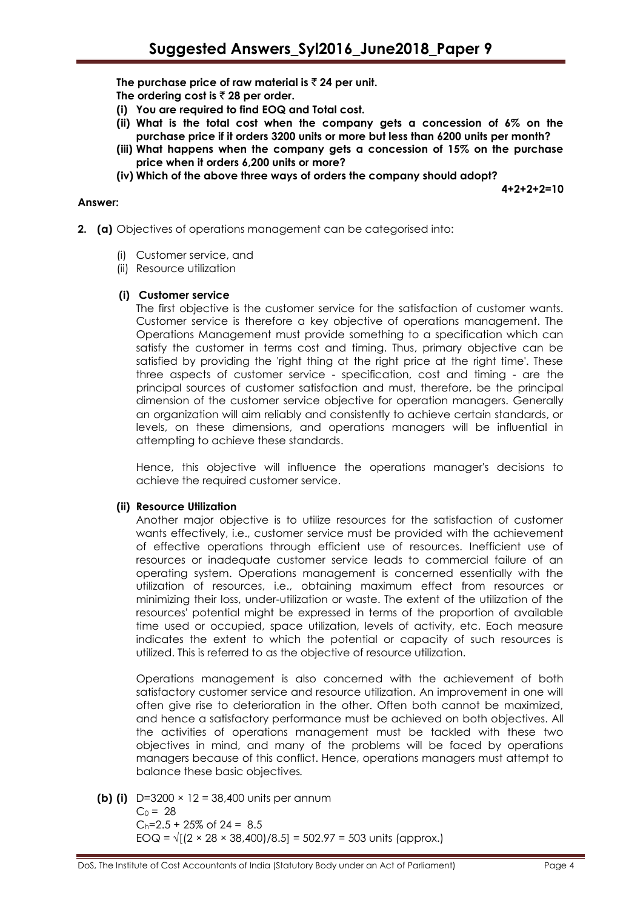The purchase price of raw material is  $\bar{\tau}$  24 per unit.

The ordering cost is  $\bar{z}$  28 per order.

- **(i) You are required to find EOQ and Total cost.**
- **(ii) What is the total cost when the company gets a concession of 6% on the purchase price if it orders 3200 units or more but less than 6200 units per month?**
- **(iii) What happens when the company gets a concession of 15% on the purchase price when it orders 6,200 units or more?**
- **(iv) Which of the above three ways of orders the company should adopt?**

#### **Answer:**

**4+2+2+2=10**

- **2. (a)** Objectives of operations management can be categorised into:
	- (i) Customer service, and
	- (ii) Resource utilization

#### **(i) Customer service**

The first objective is the customer service for the satisfaction of customer wants. Customer service is therefore a key objective of operations management. The Operations Management must provide something to a specification which can satisfy the customer in terms cost and timing. Thus, primary objective can be satisfied by providing the 'right thing at the right price at the right time'. These three aspects of customer service - specification, cost and timing - are the principal sources of customer satisfaction and must, therefore, be the principal dimension of the customer service objective for operation managers. Generally an organization will aim reliably and consistently to achieve certain standards, or levels, on these dimensions, and operations managers will be influential in attempting to achieve these standards.

Hence, this objective will influence the operations manager's decisions to achieve the required customer service.

#### **(ii) Resource Utilization**

Another major objective is to utilize resources for the satisfaction of customer wants effectively, i.e., customer service must be provided with the achievement of effective operations through efficient use of resources. Inefficient use of resources or inadequate customer service leads to commercial failure of an operating system. Operations management is concerned essentially with the utilization of resources, i.e., obtaining maximum effect from resources or minimizing their loss, under-utilization or waste. The extent of the utilization of the resources' potential might be expressed in terms of the proportion of available time used or occupied, space utilization, levels of activity, etc. Each measure indicates the extent to which the potential or capacity of such resources is utilized. This is referred to as the objective of resource utilization.

Operations management is also concerned with the achievement of both satisfactory customer service and resource utilization. An improvement in one will often give rise to deterioration in the other. Often both cannot be maximized, and hence a satisfactory performance must be achieved on both objectives. All the activities of operations management must be tackled with these two objectives in mind, and many of the problems will be faced by operations managers because of this conflict. Hence, operations managers must attempt to balance these basic objectives*.*

**(b) (i)** D=3200 × 12 = 38,400 units per annum  $C_0 = 28$  $C_h = 2.5 + 25\%$  of 24 = 8.5 EOQ =  $\sqrt{(2 \times 28 \times 38,400)/8.5]}$  = 502.97 = 503 units (approx.)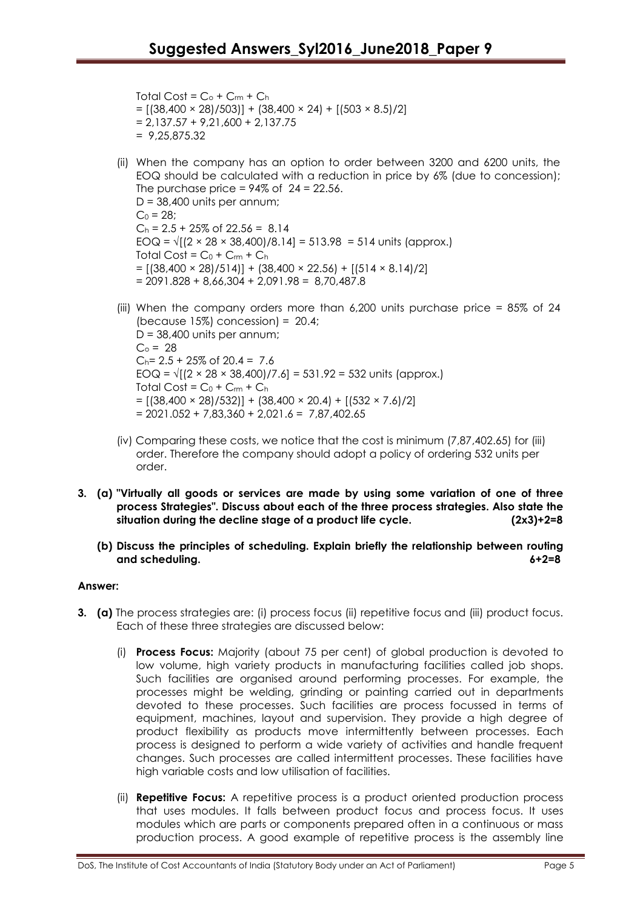Total Cost =  $C_0$  +  $C_m$  +  $C_h$  $=$  [(38,400  $\times$  28)/503)] + (38,400  $\times$  24) + [(503  $\times$  8.5)/2]  $= 2,137.57 + 9,21,600 + 2,137.75$  $= 9,25,875.32$ 

- (ii) When the company has an option to order between 3200 and 6200 units, the EOQ should be calculated with a reduction in price by 6% (due to concession); The purchase price =  $94\%$  of  $24 = 22.56$ .  $D = 38,400$  units per annum;  $C_0 = 28$ ;  $C_h$  = 2.5 + 25% of 22.56 = 8.14 EOQ =  $\sqrt{(2 \times 28 \times 38,400)/8.14}$  = 513.98 = 514 units (approx.) Total Cost =  $C_0$  +  $C_{rm}$  +  $C_{h}$  $=$  [(38,400 × 28)/514)] + (38,400 × 22.56) + [(514 × 8.14)/2]  $= 2091.828 + 8.66.304 + 2.091.98 = 8.70.487.8$
- (iii) When the company orders more than 6,200 units purchase price = 85% of 24 (because 15%) concession) = 20.4;  $D = 38,400$  units per annum;  $C_0 = 28$  $C_h$ = 2.5 + 25% of 20.4 = 7.6 EOQ =  $\sqrt{(2 \times 28 \times 38,400)/7.6}$  = 531.92 = 532 units (approx.) Total Cost =  $C_0$  +  $C_{rm}$  +  $C_{h}$  $= [(38,400 \times 28)/532] + (38,400 \times 20.4) + [(532 \times 7.6)/2]$  $= 2021.052 + 7.83.360 + 2.021.6 = 7.87.402.65$
- (iv) Comparing these costs, we notice that the cost is minimum (7,87,402.65) for (iii) order. Therefore the company should adopt a policy of ordering 532 units per order.
- **3. (a) "Virtually all goods or services are made by using some variation of one of three process Strategies". Discuss about each of the three process strategies. Also state the situation during the decline stage of a product life cycle. (2x3)+2=8**
	- **(b) Discuss the principles of scheduling. Explain briefly the relationship between routing and scheduling. 6+2=8**

# **Answer:**

- **3. (a)** The process strategies are: (i) process focus (ii) repetitive focus and (iii) product focus. Each of these three strategies are discussed below:
	- (i) **Process Focus:** Majority (about 75 per cent) of global production is devoted to low volume, high variety products in manufacturing facilities called job shops. Such facilities are organised around performing processes. For example, the processes might be welding, grinding or painting carried out in departments devoted to these processes. Such facilities are process focussed in terms of equipment, machines, layout and supervision. They provide a high degree of product flexibility as products move intermittently between processes. Each process is designed to perform a wide variety of activities and handle frequent changes. Such processes are called intermittent processes. These facilities have high variable costs and low utilisation of facilities.
	- (ii) **Repetitive Focus:** A repetitive process is a product oriented production process that uses modules. It falls between product focus and process focus. It uses modules which are parts or components prepared often in a continuous or mass production process. A good example of repetitive process is the assembly line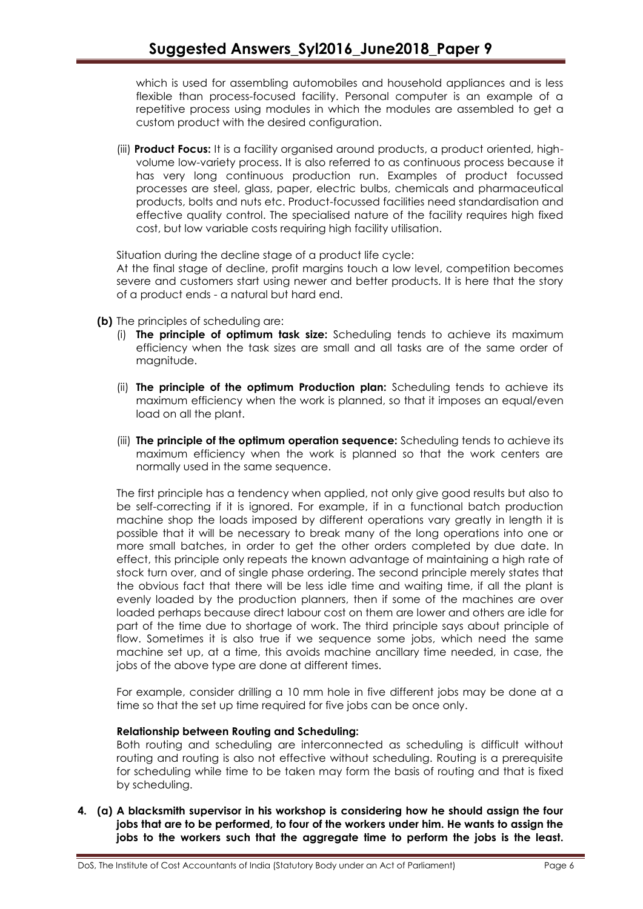which is used for assembling automobiles and household appliances and is less flexible than process-focused facility. Personal computer is an example of a repetitive process using modules in which the modules are assembled to get a custom product with the desired configuration.

(iii) **Product Focus:** It is a facility organised around products, a product oriented, highvolume low-variety process. It is also referred to as continuous process because it has very long continuous production run. Examples of product focussed processes are steel, glass, paper, electric bulbs, chemicals and pharmaceutical products, bolts and nuts etc. Product-focussed facilities need standardisation and effective quality control. The specialised nature of the facility requires high fixed cost, but low variable costs requiring high facility utilisation.

Situation during the decline stage of a product life cycle:

At the final stage of decline, profit margins touch a low level, competition becomes severe and customers start using newer and better products. It is here that the story of a product ends - a natural but hard end.

- **(b)** The principles of scheduling are:
	- (i) **The principle of optimum task size:** Scheduling tends to achieve its maximum efficiency when the task sizes are small and all tasks are of the same order of magnitude.
	- (ii) **The principle of the optimum Production plan:** Scheduling tends to achieve its maximum efficiency when the work is planned, so that it imposes an equal/even load on all the plant.
	- (iii) **The principle of the optimum operation sequence:** Scheduling tends to achieve its maximum efficiency when the work is planned so that the work centers are normally used in the same sequence.

The first principle has a tendency when applied, not only give good results but also to be self-correcting if it is ignored. For example, if in a functional batch production machine shop the loads imposed by different operations vary greatly in length it is possible that it will be necessary to break many of the long operations into one or more small batches, in order to get the other orders completed by due date. In effect, this principle only repeats the known advantage of maintaining a high rate of stock turn over, and of single phase ordering. The second principle merely states that the obvious fact that there will be less idle time and waiting time, if all the plant is evenly loaded by the production planners, then if some of the machines are over loaded perhaps because direct labour cost on them are lower and others are idle for part of the time due to shortage of work. The third principle says about principle of flow. Sometimes it is also true if we sequence some jobs, which need the same machine set up, at a time, this avoids machine ancillary time needed, in case, the jobs of the above type are done at different times.

For example, consider drilling a 10 mm hole in five different jobs may be done at a time so that the set up time required for five jobs can be once only.

#### **Relationship between Routing and Scheduling:**

Both routing and scheduling are interconnected as scheduling is difficult without routing and routing is also not effective without scheduling. Routing is a prerequisite for scheduling while time to be taken may form the basis of routing and that is fixed by scheduling.

**4. (a) A blacksmith supervisor in his workshop is considering how he should assign the four jobs that are to be performed, to four of the workers under him. He wants to assign the jobs to the workers such that the aggregate time to perform the jobs is the least.**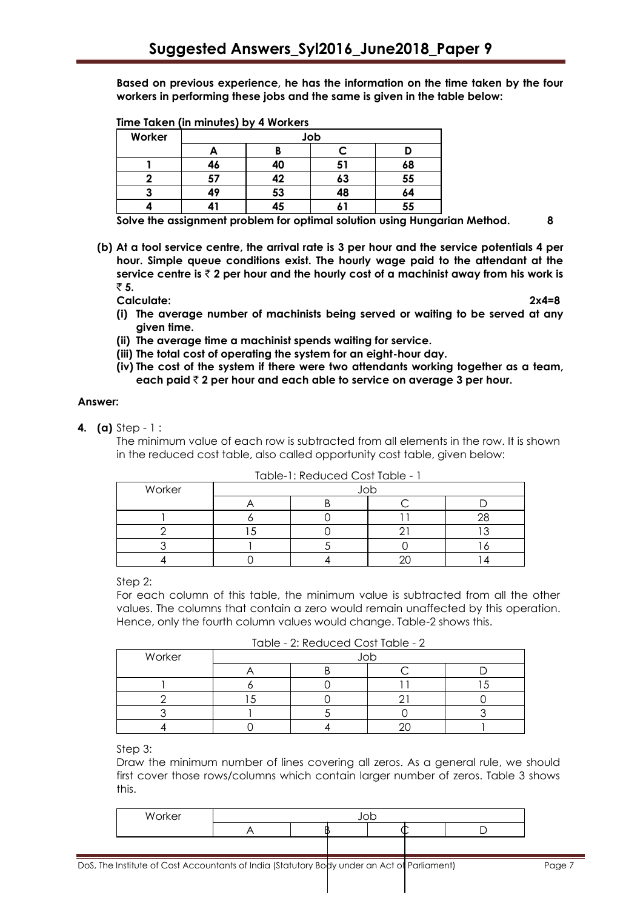**Based on previous experience, he has the information on the time taken by the four workers in performing these jobs and the same is given in the table below:**

| Worker | Job |    |    |         |  |  |  |
|--------|-----|----|----|---------|--|--|--|
|        |     |    |    |         |  |  |  |
|        | 40  | 40 |    | ۵<br>oa |  |  |  |
|        | 57  | 42 | 63 |         |  |  |  |
|        | 49  | 53 | 48 | оq      |  |  |  |
|        |     |    |    |         |  |  |  |

**Time Taken (in minutes) by 4 Workers**

**Solve the assignment problem for optimal solution using Hungarian Method. 8**

**(b) At a tool service centre, the arrival rate is 3 per hour and the service potentials 4 per hour. Simple queue conditions exist. The hourly wage paid to the attendant at the service centre is** ` **2 per hour and the hourly cost of a machinist away from his work is**  ` **5.**

**Calculate: 2x4=8**

- **(i) The average number of machinists being served or waiting to be served at any given time.**
- **(ii) The average time a machinist spends waiting for service.**
- **(iii) The total cost of operating the system for an eight-hour day.**
- **(iv) The cost of the system if there were two attendants working together as a team, each paid** ` **2 per hour and each able to service on average 3 per hour.**

#### **Answer:**

**4. (a)** Step - 1 :

The minimum value of each row is subtracted from all elements in the row. It is shown in the reduced cost table, also called opportunity cost table, given below:

|        | <u>IQDIE-T, REQUEEU COSI TUDIE - I</u> |     |  |  |  |  |  |
|--------|----------------------------------------|-----|--|--|--|--|--|
| Worker |                                        | Job |  |  |  |  |  |
|        |                                        |     |  |  |  |  |  |
|        |                                        |     |  |  |  |  |  |
|        |                                        |     |  |  |  |  |  |
|        |                                        |     |  |  |  |  |  |
|        |                                        |     |  |  |  |  |  |

Table-1: Reduced Cost Table - 1

Step 2:

For each column of this table, the minimum value is subtracted from all the other values. The columns that contain a zero would remain unaffected by this operation. Hence, only the fourth column values would change. Table-2 shows this.

Table - 2: Reduced Cost Table - 2

| Worker | Job |  |  |  |  |  |  |
|--------|-----|--|--|--|--|--|--|
|        |     |  |  |  |  |  |  |
|        |     |  |  |  |  |  |  |
|        |     |  |  |  |  |  |  |
|        |     |  |  |  |  |  |  |
|        |     |  |  |  |  |  |  |

Step 3:

Draw the minimum number of lines covering all zeros. As a general rule, we should first cover those rows/columns which contain larger number of zeros. Table 3 shows this.

| $\sim$ $\sim$ $\sim$<br>٠Λ.<br>אוו<br>_ | - |  |  |  |  |  |
|-----------------------------------------|---|--|--|--|--|--|
|                                         |   |  |  |  |  |  |
|                                         |   |  |  |  |  |  |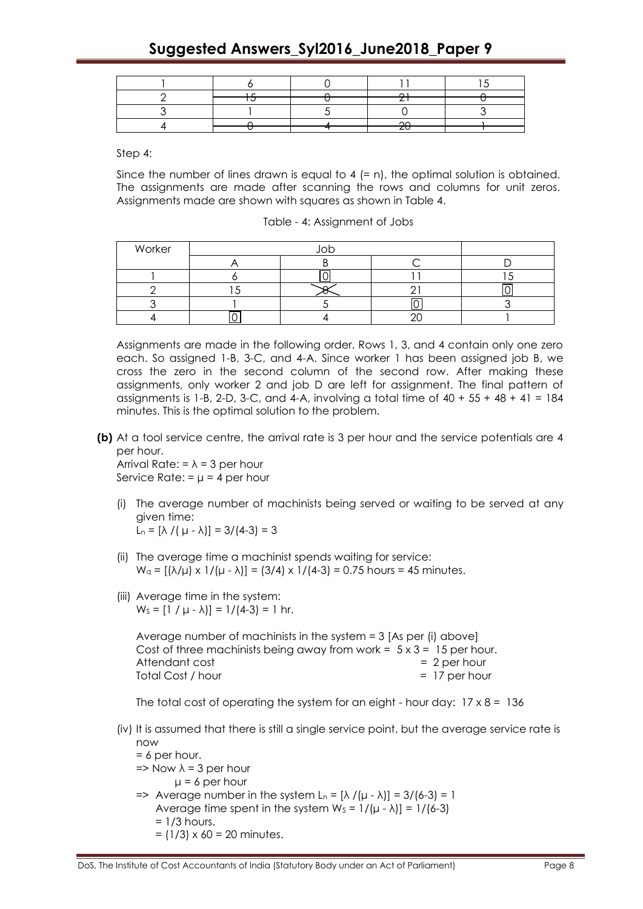Step 4:

Since the number of lines drawn is equal to  $4$  (= n), the optimal solution is obtained. The assignments are made after scanning the rows and columns for unit zeros. Assignments made are shown with squares as shown in Table 4.

| Worker |  |  |  |
|--------|--|--|--|
|        |  |  |  |
|        |  |  |  |
|        |  |  |  |
|        |  |  |  |
|        |  |  |  |

|  | Table - 4: Assignment of Jobs |  |
|--|-------------------------------|--|
|--|-------------------------------|--|

Assignments are made in the following order. Rows 1, 3, and 4 contain only one zero each. So assigned 1-B, 3-C, and 4-A. Since worker 1 has been assigned job B, we cross the zero in the second column of the second row. After making these assignments, only worker 2 and job D are left for assignment. The final pattern of assignments is 1-B, 2-D, 3-C, and 4-A, involving a total time of  $40 + 55 + 48 + 41 = 184$ minutes. This is the optimal solution to the problem.

**(b)** At a tool service centre, the arrival rate is 3 per hour and the service potentials are 4 per hour.

Arrival Rate: =  $\lambda$  = 3 per hour Service Rate:  $= \mu = 4$  per hour

- (i) The average number of machinists being served or waiting to be served at any given time: L<sub>n</sub> =  $[\lambda /(\mu - \lambda)] = 3/(4-3) = 3$
- (ii) The average time a machinist spends waiting for service:  $W_q = [(\lambda/\mu) \times 1/(\mu - \lambda)] = (3/4) \times 1/(4-3) = 0.75$  hours = 45 minutes.
- (iii) Average time in the system: W<sub>S</sub> =  $[1 / \mu - \lambda] = 1/(4-3) = 1$  hr.

Average number of machinists in the system = 3 [As per (i) above] Cost of three machinists being away from work =  $5 \times 3 = 15$  per hour. Attendant cost  $= 2$  per hour Total Cost / hour  $= 17$  per hour

The total cost of operating the system for an eight - hour day:  $17 \times 8 = 136$ 

(iv) It is assumed that there is still a single service point, but the average service rate is now

= 6 per hour.  $\Rightarrow$  Now  $\lambda = 3$  per hour  $\mu$  = 6 per hour => Average number in the system  $L_n = [\lambda / (\mu - \lambda)] = 3/(6-3) = 1$ Average time spent in the system  $W_s = 1/(\mu - \lambda) = 1/(6-3)$  $= 1/3$  hours.  $= (1/3) \times 60 = 20$  minutes.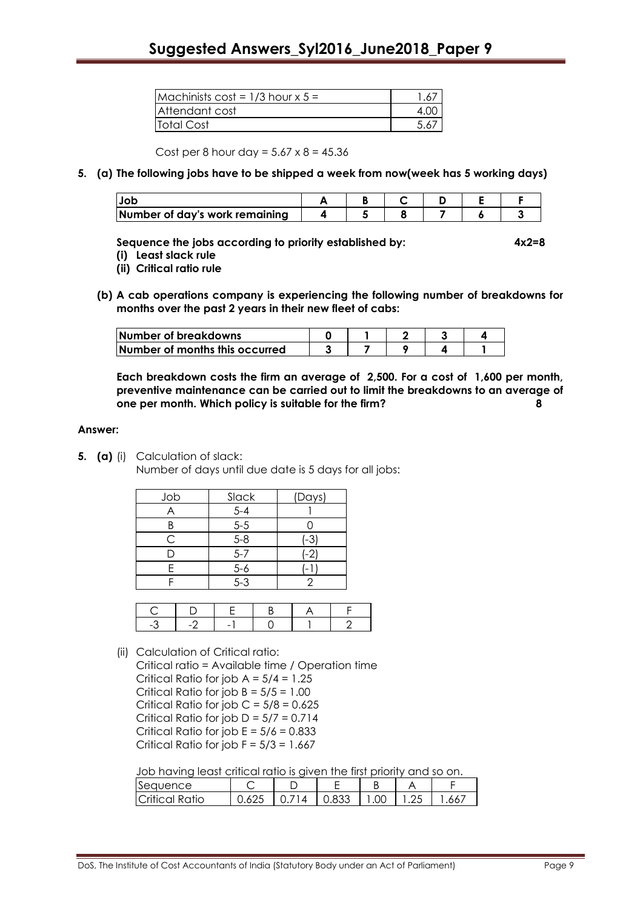| Machinists cost = $1/3$ hour x 5 = |  |
|------------------------------------|--|
| Attendant cost                     |  |
| <b>Total Cost</b>                  |  |

Cost per 8 hour day =  $5.67 \times 8 = 45.36$ 

**5. (a) The following jobs have to be shipped a week from now(week has 5 working days)**

| Number of day's work remaining |  |  |  |
|--------------------------------|--|--|--|

**Sequence the jobs according to priority established by: 4x2=8**

- **(i) Least slack rule**
- **(ii) Critical ratio rule**
- **(b) A cab operations company is experiencing the following number of breakdowns for months over the past 2 years in their new fleet of cabs:**

| Number of breakdowns           |  |  |  |
|--------------------------------|--|--|--|
| Number of months this occurred |  |  |  |

**Each breakdown costs the firm an average of 2,500. For a cost of 1,600 per month, preventive maintenance can be carried out to limit the breakdowns to an average of one per month. Which policy is suitable for the firm? 8**

#### **Answer:**

**5. (a)** (i) Calculation of slack: Number of days until due date is 5 days for all jobs:

| Job | Slack             | (Days) |
|-----|-------------------|--------|
|     | $5 - 4$           |        |
| R   | $5 - 5$           |        |
| C   | $5-8$             | $-3'$  |
|     | $5 - 7$           | $(-2)$ |
| F   | $\frac{5-6}{5-3}$ |        |
|     |                   |        |

(ii) Calculation of Critical ratio:

Critical ratio = Available time / Operation time Critical Ratio for job  $A = 5/4 = 1.25$ Critical Ratio for job  $B = 5/5 = 1.00$ Critical Ratio for job  $C = 5/8 = 0.625$ Critical Ratio for job  $D = 5/7 = 0.714$ Critical Ratio for job  $E = 5/6 = 0.833$ Critical Ratio for job  $F = 5/3 = 1.667$ 

Job having least critical ratio is given the first priority and so on.

| <i><b>ISeauence</b></i> |   |          |  |
|-------------------------|---|----------|--|
| <b>Critical Ratio</b>   | 4 | $($ )( ) |  |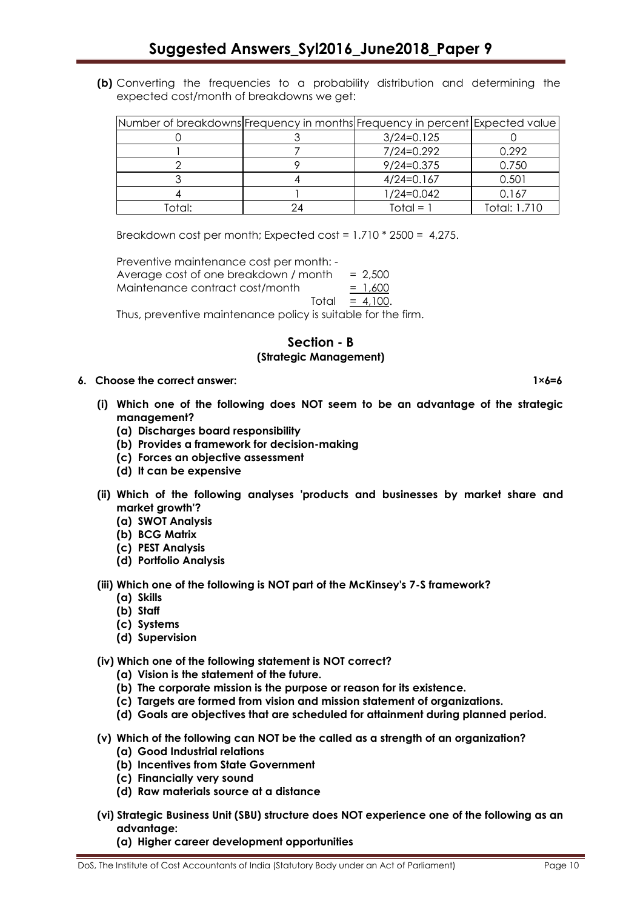**(b)** Converting the frequencies to a probability distribution and determining the expected cost/month of breakdowns we get:

| Number of breakdowns Frequency in months Frequency in percent Expected value |           |                |              |
|------------------------------------------------------------------------------|-----------|----------------|--------------|
|                                                                              |           | $3/24=0.125$   |              |
|                                                                              |           | $7/24=0.292$   | 0.292        |
|                                                                              |           | $9/24 = 0.375$ | 0.750        |
|                                                                              |           | $4/24=0.167$   | 0.501        |
|                                                                              |           | $1/24 = 0.042$ | 0.167        |
| Total:                                                                       | $2\Delta$ | $Total = 1$    | Total: 1.710 |

Breakdown cost per month; Expected cost = 1.710 \* 2500 = 4,275.

Preventive maintenance cost per month: - Average cost of one breakdown / month  $= 2,500$ Maintenance contract cost/month  $= 1,600$ Total  $= 4,100$ .

Thus, preventive maintenance policy is suitable for the firm.

### **Section - B (Strategic Management)**

- **6. Choose the correct answer: 1×6=6**
	- **(i) Which one of the following does NOT seem to be an advantage of the strategic management?**
		- **(a) Discharges board responsibility**
		- **(b) Provides a framework for decision-making**
		- **(c) Forces an objective assessment**
		- **(d) It can be expensive**
	- **(ii) Which of the following analyses 'products and businesses by market share and market growth'?**
		- **(a) SWOT Analysis**
		- **(b) BCG Matrix**
		- **(c) PEST Analysis**
		- **(d) Portfolio Analysis**
	- **(iii) Which one of the following is NOT part of the McKinsey's 7-S framework?**
		- **(a) Skills**
		- **(b) Staff**
		- **(c) Systems**
		- **(d) Supervision**
	- **(iv) Which one of the following statement is NOT correct?**
		- **(a) Vision is the statement of the future.**
		- **(b) The corporate mission is the purpose or reason for its existence.**
		- **(c) Targets are formed from vision and mission statement of organizations.**
		- **(d) Goals are objectives that are scheduled for attainment during planned period.**
	- **(v) Which of the following can NOT be the called as a strength of an organization? (a) Good Industrial relations**
		- **(b) Incentives from State Government**
		- **(c) Financially very sound**
		- **(d) Raw materials source at a distance**
	- **(vi) Strategic Business Unit (SBU) structure does NOT experience one of the following as an advantage:**
		- **(a) Higher career development opportunities**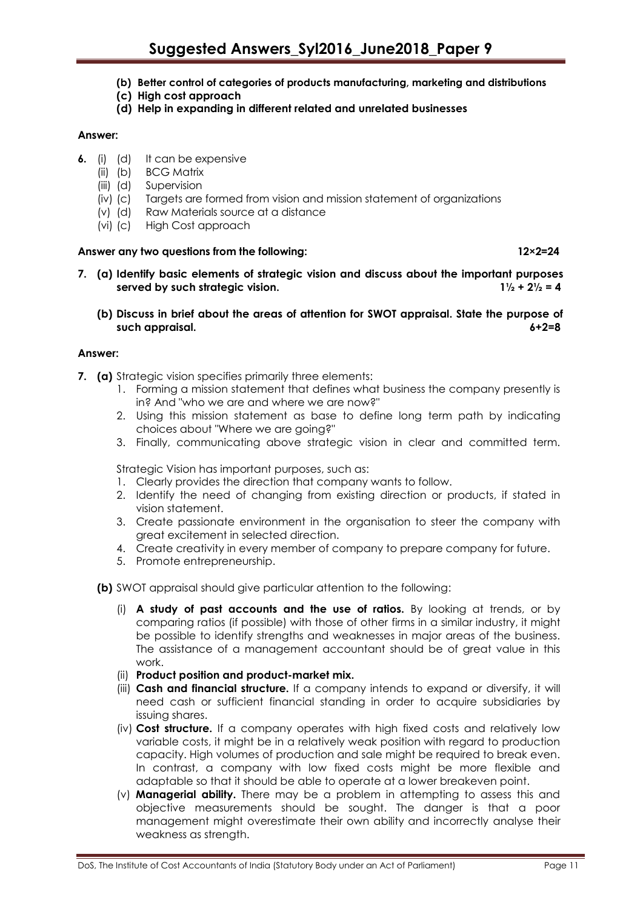- **(b) Better control of categories of products manufacturing, marketing and distributions**
- **(c) High cost approach**
- **(d) Help in expanding in different related and unrelated businesses**

#### **Answer:**

- **6.** (i) (d) It can be expensive
	- (ii) (b) BCG Matrix
	- (iii) (d) Supervision
	- (iv) (c) Targets are formed from vision and mission statement of organizations
	- (v) (d) Raw Materials source at a distance
	- (vi) (c) High Cost approach

### **Answer any two questions from the following: 12×2=24**

- **7. (a) Identify basic elements of strategic vision and discuss about the important purposes served by such strategic vision.**  $1\frac{1}{2} + 2\frac{1}{2} = 4$ 
	- **(b) Discuss in brief about the areas of attention for SWOT appraisal. State the purpose of such appraisal. 6+2=8**

#### **Answer:**

- **7. (a)** Strategic vision specifies primarily three elements:
	- 1. Forming a mission statement that defines what business the company presently is in? And "who we are and where we are now?"
	- 2. Using this mission statement as base to define long term path by indicating choices about "Where we are going?"
	- 3. Finally, communicating above strategic vision in clear and committed term.

Strategic Vision has important purposes, such as:

- 1. Clearly provides the direction that company wants to follow.
- 2. Identify the need of changing from existing direction or products, if stated in vision statement.
- 3. Create passionate environment in the organisation to steer the company with great excitement in selected direction.
- 4. Create creativity in every member of company to prepare company for future.
- 5. Promote entrepreneurship.
- **(b)** SWOT appraisal should give particular attention to the following:
	- (i) **A study of past accounts and the use of ratios.** By looking at trends, or by comparing ratios (if possible) with those of other firms in a similar industry, it might be possible to identify strengths and weaknesses in major areas of the business. The assistance of a management accountant should be of great value in this work.
	- (ii) **Product position and product-market mix.**
	- (iii) **Cash and financial structure.** If a company intends to expand or diversify, it will need cash or sufficient financial standing in order to acquire subsidiaries by issuing shares.
	- (iv) **Cost structure.** If a company operates with high fixed costs and relatively low variable costs, it might be in a relatively weak position with regard to production capacity. High volumes of production and sale might be required to break even. In contrast, a company with low fixed costs might be more flexible and adaptable so that it should be able to operate at a lower breakeven point.
	- (v) **Managerial ability.** There may be a problem in attempting to assess this and objective measurements should be sought. The danger is that a poor management might overestimate their own ability and incorrectly analyse their weakness as strength.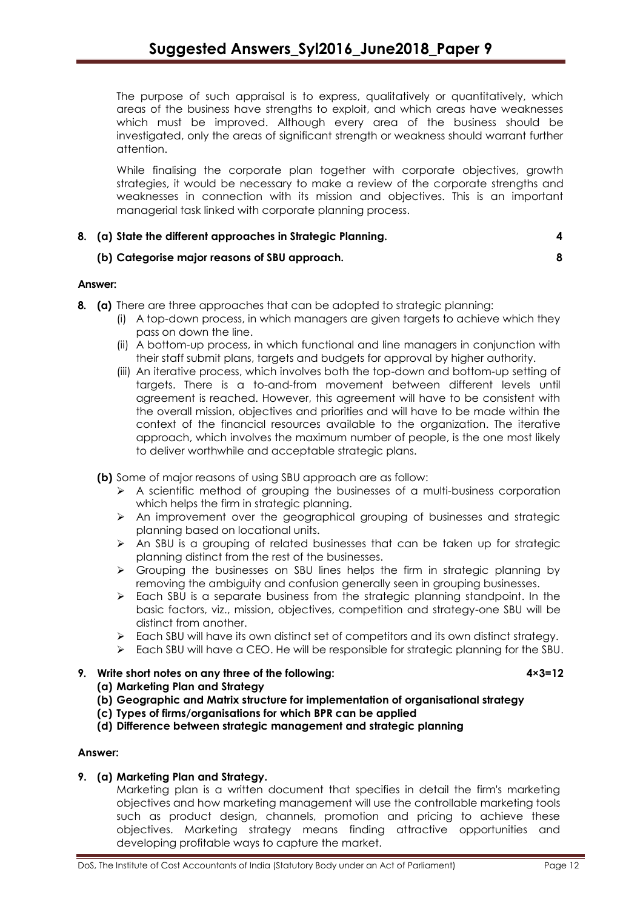The purpose of such appraisal is to express, qualitatively or quantitatively, which areas of the business have strengths to exploit, and which areas have weaknesses which must be improved. Although every area of the business should be investigated, only the areas of significant strength or weakness should warrant further attention.

While finalising the corporate plan together with corporate objectives, growth strategies, it would be necessary to make a review of the corporate strengths and weaknesses in connection with its mission and objectives. This is an important managerial task linked with corporate planning process.

### **8. (a) State the different approaches in Strategic Planning. 4**

### **(b) Categorise major reasons of SBU approach. 8**

**Answer:**

- **8. (a)** There are three approaches that can be adopted to strategic planning:
	- (i) A top-down process, in which managers are given targets to achieve which they pass on down the line.
	- (ii) A bottom-up process, in which functional and line managers in conjunction with their staff submit plans, targets and budgets for approval by higher authority.
	- (iii) An iterative process, which involves both the top-down and bottom-up setting of targets. There is a to-and-from movement between different levels until agreement is reached. However, this agreement will have to be consistent with the overall mission, objectives and priorities and will have to be made within the context of the financial resources available to the organization. The iterative approach, which involves the maximum number of people, is the one most likely to deliver worthwhile and acceptable strategic plans.
	- **(b)** Some of major reasons of using SBU approach are as follow:
		- $\triangleright$  A scientific method of grouping the businesses of a multi-business corporation which helps the firm in strategic planning.
		- $\triangleright$  An improvement over the geographical grouping of businesses and strategic planning based on locational units.
		- $\triangleright$  An SBU is a grouping of related businesses that can be taken up for strategic planning distinct from the rest of the businesses.
		- $\triangleright$  Grouping the businesses on SBU lines helps the firm in strategic planning by removing the ambiguity and confusion generally seen in grouping businesses.
		- $\triangleright$  Each SBU is a separate business from the strategic planning standpoint. In the basic factors, viz., mission, objectives, competition and strategy-one SBU will be distinct from another.
		- Each SBU will have its own distinct set of competitors and its own distinct strategy.
		- Each SBU will have a CEO. He will be responsible for strategic planning for the SBU.

#### **9. Write short notes on any three of the following: 4×3=12**

**(a) Marketing Plan and Strategy**

- **(b) Geographic and Matrix structure for implementation of organisational strategy**
- **(c) Types of firms/organisations for which BPR can be applied**
- **(d) Difference between strategic management and strategic planning**

#### **Answer:**

**9. (a) Marketing Plan and Strategy.**

Marketing plan is a written document that specifies in detail the firm's marketing objectives and how marketing management will use the controllable marketing tools such as product design, channels, promotion and pricing to achieve these objectives. Marketing strategy means finding attractive opportunities and developing profitable ways to capture the market.